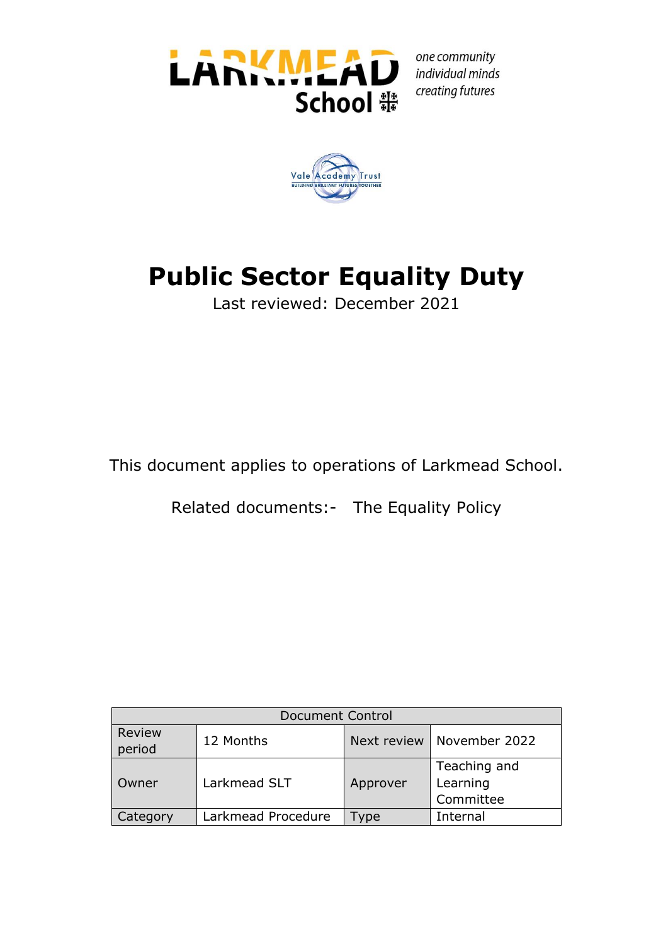

one community individual minds creating futures



# **Public Sector Equality Duty**

Last reviewed: December 2021

This document applies to operations of Larkmead School.

Related documents:- The Equality Policy

| <b>Document Control</b> |                    |          |                                       |
|-------------------------|--------------------|----------|---------------------------------------|
| Review<br>period        | 12 Months          |          | Next review   November 2022           |
| Owner                   | Larkmead SLT       | Approver | Teaching and<br>Learning<br>Committee |
| Category                | Larkmead Procedure | Type     | Internal                              |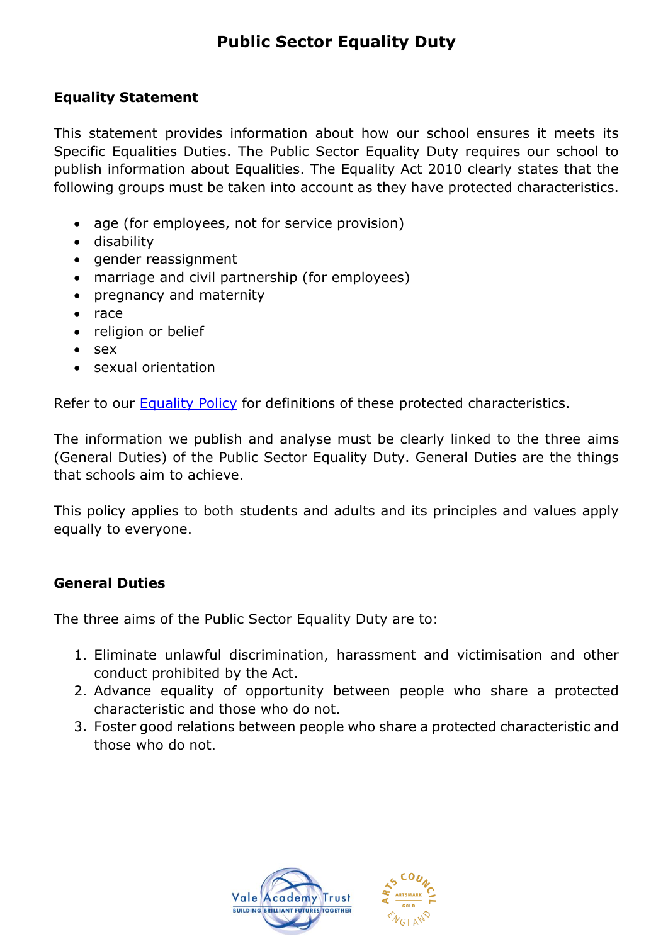# **Public Sector Equality Duty**

# **Equality Statement**

This statement provides information about how our school ensures it meets its Specific Equalities Duties. The Public Sector Equality Duty requires our school to publish information about Equalities. The Equality Act 2010 clearly states that the following groups must be taken into account as they have protected characteristics.

- age (for employees, not for service provision)
- disability
- gender reassignment
- marriage and civil partnership (for employees)
- pregnancy and maternity
- race
- religion or belief
- sex
- sexual orientation

Refer to our [Equality Policy](https://www.vale-academy.org/wp-content/uploads/Equality-Policy.pdf) for definitions of these protected characteristics.

The information we publish and analyse must be clearly linked to the three aims (General Duties) of the Public Sector Equality Duty. General Duties are the things that schools aim to achieve.

This policy applies to both students and adults and its principles and values apply equally to everyone.

# **General Duties**

The three aims of the Public Sector Equality Duty are to:

- 1. Eliminate unlawful discrimination, harassment and victimisation and other conduct prohibited by the Act.
- 2. Advance equality of opportunity between people who share a protected characteristic and those who do not.
- 3. Foster good relations between people who share a protected characteristic and those who do not.



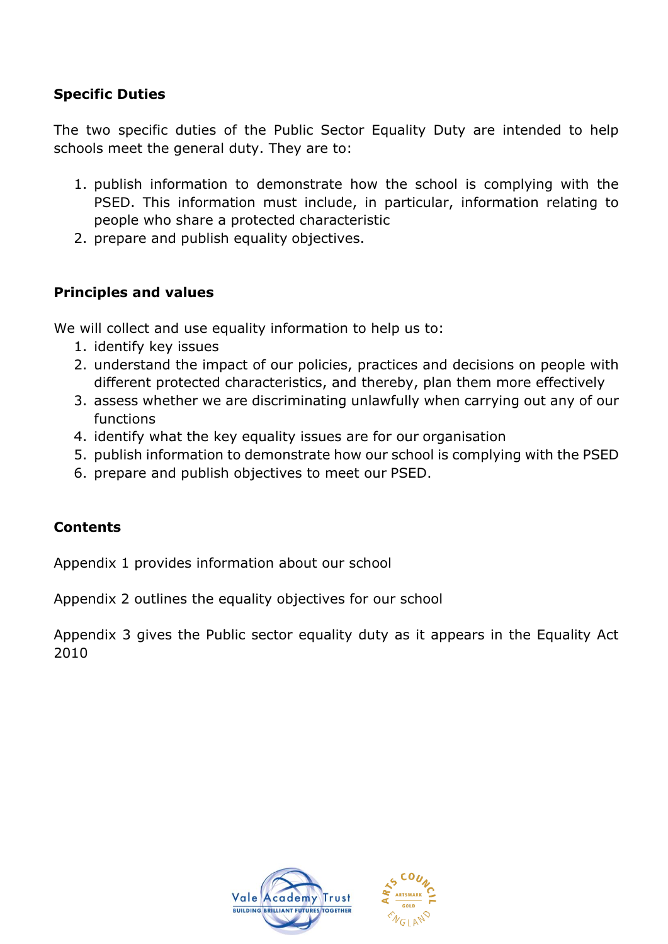#### **Specific Duties**

The two specific duties of the Public Sector Equality Duty are intended to help schools meet the general duty. They are to:

- 1. publish information to demonstrate how the school is complying with the PSED. This information must include, in particular, information relating to people who share a protected characteristic
- 2. prepare and publish equality objectives.

#### **Principles and values**

We will collect and use equality information to help us to:

- 1. identify key issues
- 2. understand the impact of our policies, practices and decisions on people with different protected characteristics, and thereby, plan them more effectively
- 3. assess whether we are discriminating unlawfully when carrying out any of our functions
- 4. identify what the key equality issues are for our organisation
- 5. publish information to demonstrate how our school is complying with the PSED
- 6. prepare and publish objectives to meet our PSED.

#### **Contents**

Appendix 1 provides information about our school

Appendix 2 outlines the equality objectives for our school

Appendix 3 gives the Public sector equality duty as it appears in the Equality Act 2010

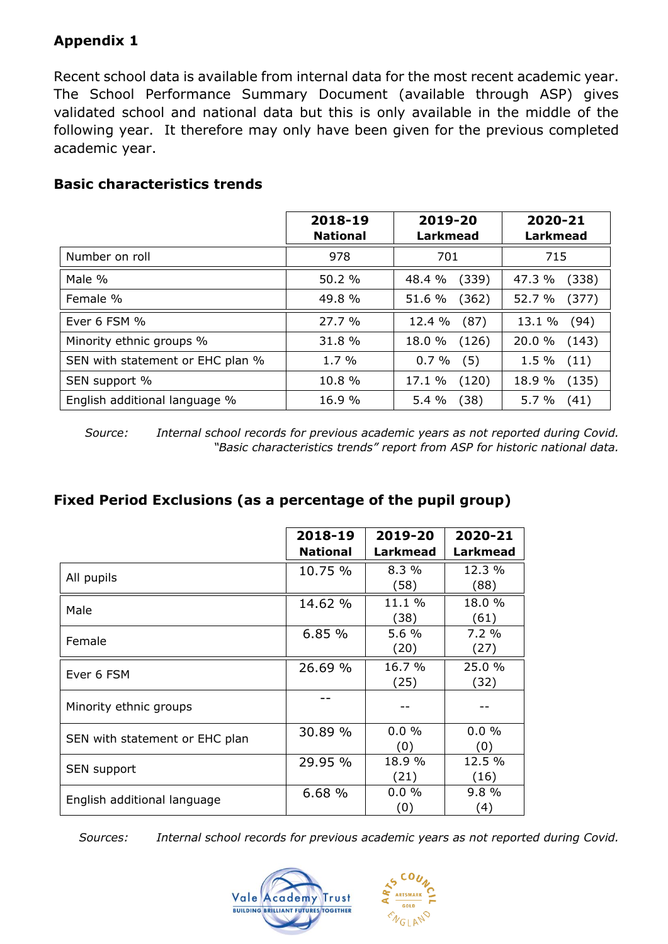# **Appendix 1**

Recent school data is available from internal data for the most recent academic year. The School Performance Summary Document (available through ASP) gives validated school and national data but this is only available in the middle of the following year. It therefore may only have been given for the previous completed academic year.

#### **Basic characteristics trends**

|                                  | 2018-19<br><b>National</b> | 2019-20<br>Larkmead | 2020-21<br><b>Larkmead</b> |
|----------------------------------|----------------------------|---------------------|----------------------------|
| Number on roll                   | 978                        | 701                 | 715                        |
| Male %                           | 50.2 %                     | (339)<br>48.4 %     | (338)<br>47.3 %            |
| Female %                         | 49.8 %                     | 51.6 %<br>(362)     | (377)<br>52.7 %            |
| Ever 6 FSM %                     | 27.7%                      | 12.4 %<br>(87)      | (94)<br>13.1 %             |
| Minority ethnic groups %         | 31.8%                      | 18.0 %<br>(126)     | 20.0 %<br>(143)            |
| SEN with statement or EHC plan % | $1.7\%$                    | 0.7%<br>(5)         | 1.5%<br>(11)               |
| SEN support %                    | 10.8 %                     | 17.1 %<br>(120)     | 18.9 %<br>(135)            |
| English additional language %    | 16.9 %                     | (38)<br>5.4%        | (41)<br>5.7%               |

*Source: Internal school records for previous academic years as not reported during Covid. "Basic characteristics trends" report from ASP for historic national data.*

# **Fixed Period Exclusions (as a percentage of the pupil group)**

|                                | 2018-19         | 2019-20         | 2020-21         |
|--------------------------------|-----------------|-----------------|-----------------|
|                                | <b>National</b> | <b>Larkmead</b> | <b>Larkmead</b> |
| All pupils                     | 10.75 %         | 8.3%            | 12.3 %          |
|                                |                 | (58)            | (88)            |
| Male                           | 14.62 %         | 11.1 %          | 18.0 %          |
|                                |                 | (38)            | (61)            |
| Female                         | 6.85%           | 5.6 %           | $7.2 \%$        |
|                                |                 | (20)            | (27)            |
|                                | 26.69 %         | 16.7 %          | 25.0 %          |
| Ever 6 FSM                     |                 | (25)            | (32)            |
|                                |                 |                 |                 |
| Minority ethnic groups         |                 |                 |                 |
| SEN with statement or EHC plan | 30.89 %         | $0.0\%$         | $0.0 \%$        |
|                                |                 | (0)             | (0)             |
| SEN support                    | 29.95 %         | 18.9 %          | 12.5 %          |
|                                |                 | (21)            | (16)            |
| English additional language    | 6.68%           | $0.0 \%$        | 9.8%            |
|                                |                 | (0)             | (4)             |

*Sources: Internal school records for previous academic years as not reported during Covid.* 



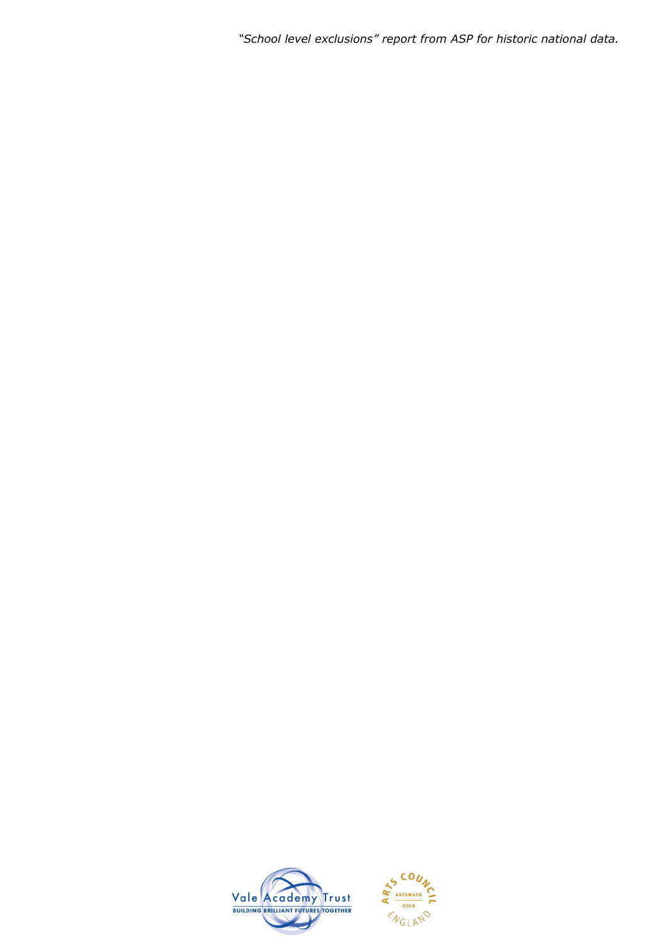*"School level exclusions" report from ASP for historic national data.*



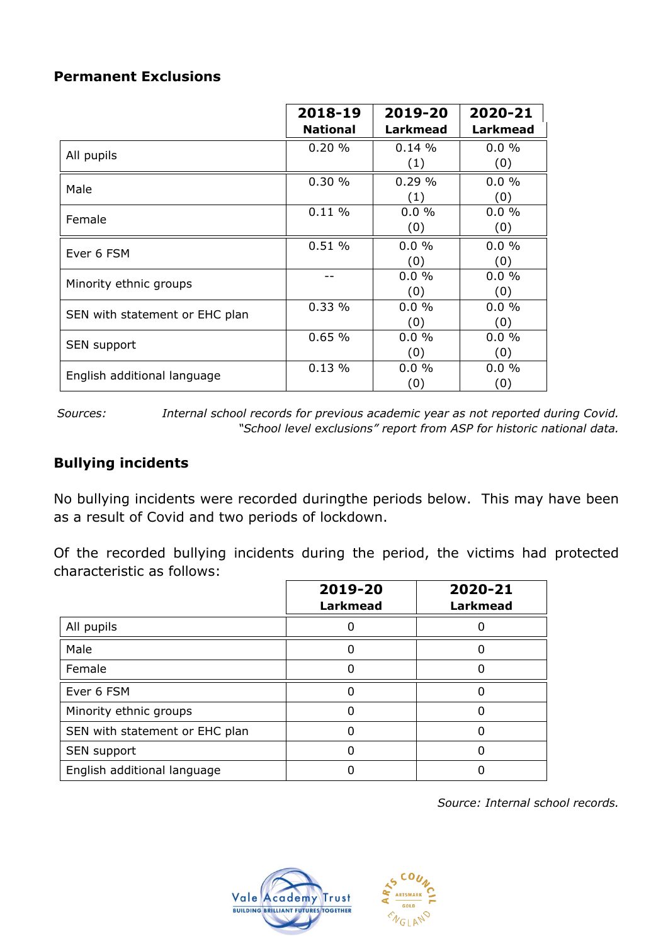#### **Permanent Exclusions**

|                                | 2018-19         | 2019-20         | 2020-21         |
|--------------------------------|-----------------|-----------------|-----------------|
|                                | <b>National</b> | <b>Larkmead</b> | <b>Larkmead</b> |
| All pupils                     | 0.20%           | 0.14%           | 0.0%            |
|                                |                 | (1)             | (0)             |
| Male                           | 0.30%           | 0.29%           | 0.0%            |
|                                |                 | (1)             | (0)             |
| Female                         | 0.11%           | 0.0%            | 0.0%            |
|                                |                 | (0)             | (0)             |
| Ever 6 FSM                     | 0.51%           | 0.0%            | $0.0 \%$        |
|                                |                 | (0)             | (0)             |
| Minority ethnic groups         |                 | 0.0%            | 0.0%            |
|                                |                 | (0)             | (0)             |
| SEN with statement or EHC plan | 0.33%           | $0.0 \%$        | 0.0%            |
|                                |                 | (0)             | (0)             |
| SEN support                    | 0.65%           | $0.0 \%$        | 0.0%            |
|                                |                 | (0)             | (0)             |
| English additional language    | 0.13%           | $0.0 \%$        | $0.0 \%$        |
|                                |                 | (0)             | (0)             |

*Sources: Internal school records for previous academic year as not reported during Covid. "School level exclusions" report from ASP for historic national data.*

#### **Bullying incidents**

No bullying incidents were recorded duringthe periods below. This may have been as a result of Covid and two periods of lockdown.

Of the recorded bullying incidents during the period, the victims had protected characteristic as follows:

|                                | 2019-20<br><b>Larkmead</b> | 2020-21<br><b>Larkmead</b> |
|--------------------------------|----------------------------|----------------------------|
| All pupils                     |                            |                            |
| Male                           |                            |                            |
| Female                         |                            |                            |
| Ever 6 FSM                     |                            |                            |
| Minority ethnic groups         |                            |                            |
| SEN with statement or EHC plan | U                          |                            |
| SEN support                    |                            |                            |
| English additional language    |                            |                            |

*Source: Internal school records.*



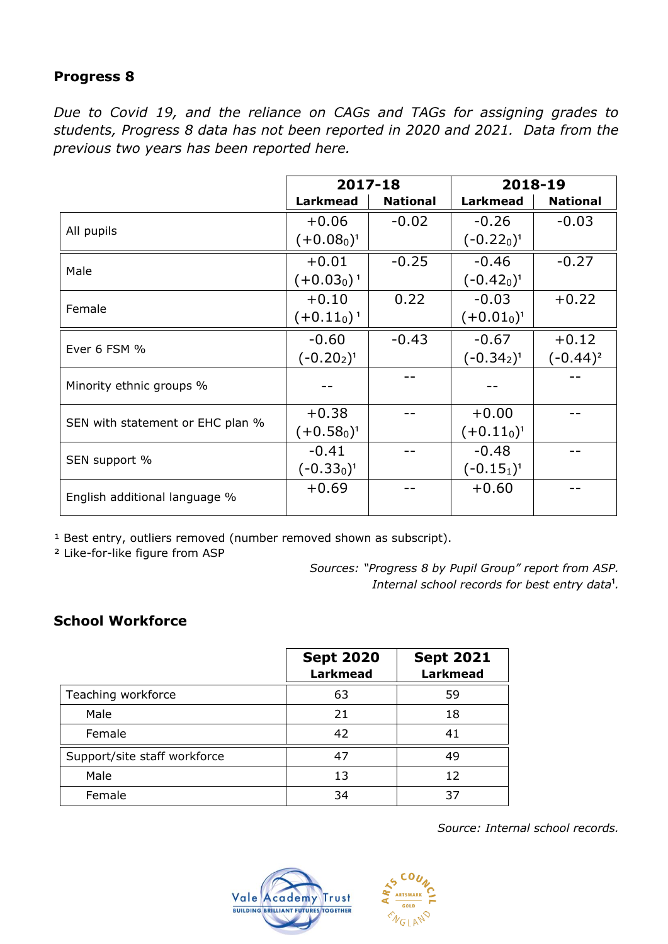# **Progress 8**

*Due to Covid 19, and the reliance on CAGs and TAGs for assigning grades to students, Progress 8 data has not been reported in 2020 and 2021. Data from the previous two years has been reported here.*

|                                  | 2017-18         |                 | 2018-19         |                 |
|----------------------------------|-----------------|-----------------|-----------------|-----------------|
|                                  | <b>Larkmead</b> | <b>National</b> | <b>Larkmead</b> | <b>National</b> |
|                                  | $+0.06$         | $-0.02$         | $-0.26$         | $-0.03$         |
| All pupils                       | $(+0.080)1$     |                 | $(-0.220)1$     |                 |
| Male                             | $+0.01$         | $-0.25$         | $-0.46$         | $-0.27$         |
|                                  | $(+0.030)1$     |                 | $(-0.420)1$     |                 |
| Female                           | $+0.10$         | 0.22            | $-0.03$         | $+0.22$         |
|                                  | $(+0.11_0)^1$   |                 | $(+0.010)1$     |                 |
| Ever 6 FSM %                     | $-0.60$         | $-0.43$         | $-0.67$         | $+0.12$         |
|                                  | $(-0.202)1$     |                 | $(-0.342)1$     | $(-0.44)^2$     |
| Minority ethnic groups %         |                 |                 |                 |                 |
|                                  | $+0.38$         |                 | $+0.00$         |                 |
| SEN with statement or EHC plan % | $(+0.580)1$     |                 | $(+0.11_0)^1$   |                 |
|                                  | $-0.41$         |                 | $-0.48$         |                 |
| SEN support %                    | $(-0.330)1$     |                 | $(-0.151)1$     |                 |
| English additional language %    | $+0.69$         |                 | $+0.60$         |                 |

<sup>1</sup> Best entry, outliers removed (number removed shown as subscript).

² Like-for-like figure from ASP

*Sources: "Progress 8 by Pupil Group" report from ASP. Internal school records for best entry data<sup>1</sup>.* 

#### **School Workforce**

|                              | <b>Sept 2020</b><br><b>Larkmead</b> | <b>Sept 2021</b><br><b>Larkmead</b> |
|------------------------------|-------------------------------------|-------------------------------------|
| Teaching workforce           | 63                                  | 59                                  |
| Male                         | 21                                  | 18                                  |
| Female                       | 42                                  | 41                                  |
| Support/site staff workforce | 47                                  | 49                                  |
| Male                         | 13                                  | 12                                  |
| Female                       | 34                                  | 37                                  |

*Source: Internal school records.*



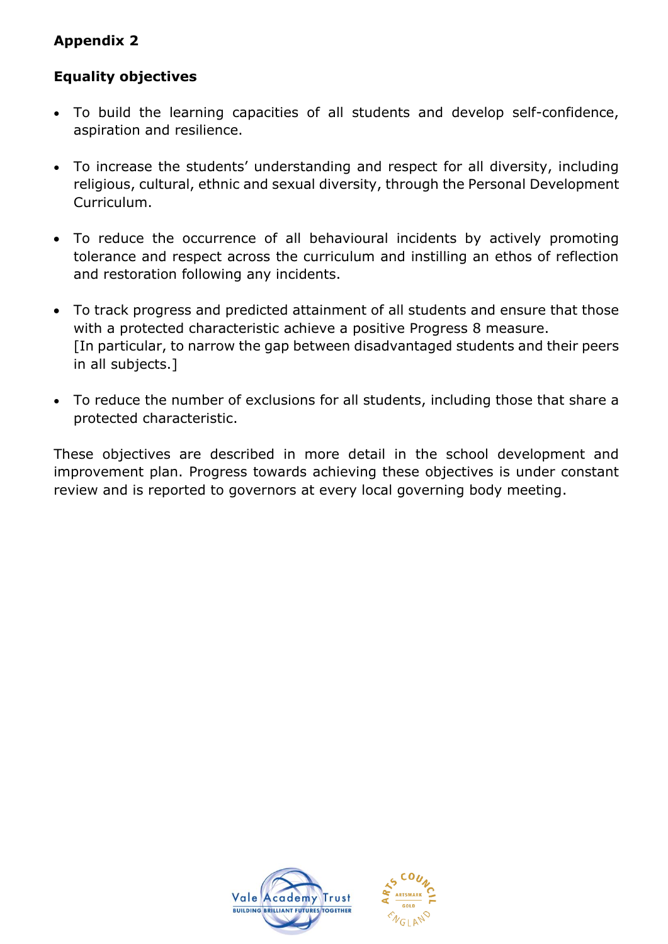# **Appendix 2**

# **Equality objectives**

- To build the learning capacities of all students and develop self-confidence, aspiration and resilience.
- To increase the students' understanding and respect for all diversity, including religious, cultural, ethnic and sexual diversity, through the Personal Development Curriculum.
- To reduce the occurrence of all behavioural incidents by actively promoting tolerance and respect across the curriculum and instilling an ethos of reflection and restoration following any incidents.
- To track progress and predicted attainment of all students and ensure that those with a protected characteristic achieve a positive Progress 8 measure. [In particular, to narrow the gap between disadvantaged students and their peers in all subjects.]
- To reduce the number of exclusions for all students, including those that share a protected characteristic.

These objectives are described in more detail in the school development and improvement plan. Progress towards achieving these objectives is under constant review and is reported to governors at every local governing body meeting.

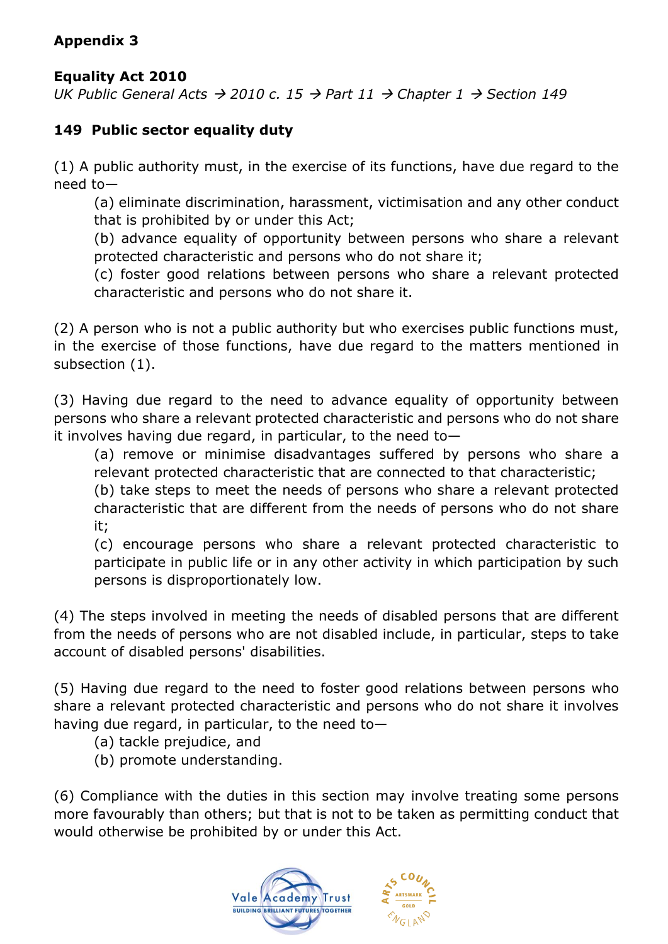#### **Equality Act 2010**

*UK Public General Acts* → *2010 c. 15* → *Part 11* → *Chapter 1* → *Section 149*

# **149 Public sector equality duty**

(1) A public authority must, in the exercise of its functions, have due regard to the need to—

(a) eliminate discrimination, harassment, victimisation and any other conduct that is prohibited by or under this Act;

(b) advance equality of opportunity between persons who share a relevant protected characteristic and persons who do not share it;

(c) foster good relations between persons who share a relevant protected characteristic and persons who do not share it.

(2) A person who is not a public authority but who exercises public functions must, in the exercise of those functions, have due regard to the matters mentioned in subsection (1).

(3) Having due regard to the need to advance equality of opportunity between persons who share a relevant protected characteristic and persons who do not share it involves having due regard, in particular, to the need to—

(a) remove or minimise disadvantages suffered by persons who share a relevant protected characteristic that are connected to that characteristic;

(b) take steps to meet the needs of persons who share a relevant protected characteristic that are different from the needs of persons who do not share it;

(c) encourage persons who share a relevant protected characteristic to participate in public life or in any other activity in which participation by such persons is disproportionately low.

(4) The steps involved in meeting the needs of disabled persons that are different from the needs of persons who are not disabled include, in particular, steps to take account of disabled persons' disabilities.

(5) Having due regard to the need to foster good relations between persons who share a relevant protected characteristic and persons who do not share it involves having due regard, in particular, to the need to—

(a) tackle prejudice, and

(b) promote understanding.

(6) Compliance with the duties in this section may involve treating some persons more favourably than others; but that is not to be taken as permitting conduct that would otherwise be prohibited by or under this Act.